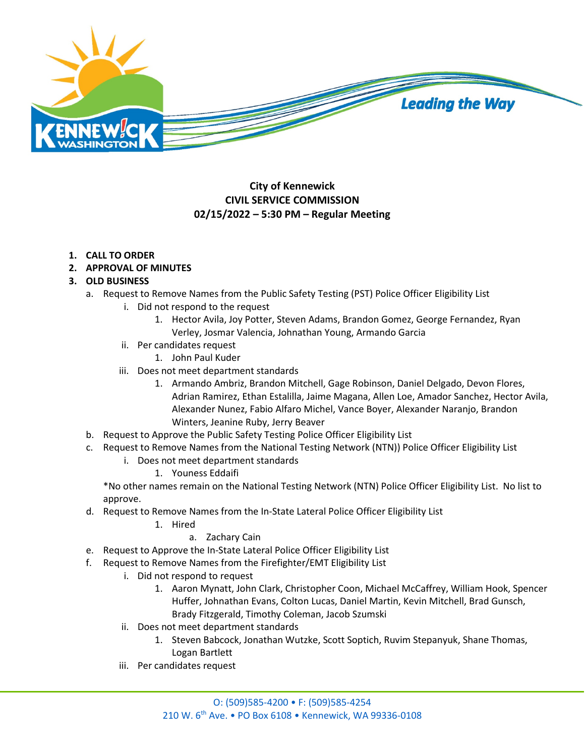

# **City of Kennewick CIVIL SERVICE COMMISSION 02/15/2022 – 5:30 PM – Regular Meeting**

## **1. CALL TO ORDER**

**2. APPROVAL OF MINUTES**

## **3. OLD BUSINESS**

- a. Request to Remove Names from the Public Safety Testing (PST) Police Officer Eligibility List
	- i. Did not respond to the request
		- 1. Hector Avila, Joy Potter, Steven Adams, Brandon Gomez, George Fernandez, Ryan Verley, Josmar Valencia, Johnathan Young, Armando Garcia
	- ii. Per candidates request
		- 1. John Paul Kuder
	- iii. Does not meet department standards
		- 1. Armando Ambriz, Brandon Mitchell, Gage Robinson, Daniel Delgado, Devon Flores, Adrian Ramirez, Ethan Estalilla, Jaime Magana, Allen Loe, Amador Sanchez, Hector Avila, Alexander Nunez, Fabio Alfaro Michel, Vance Boyer, Alexander Naranjo, Brandon Winters, Jeanine Ruby, Jerry Beaver
- b. Request to Approve the Public Safety Testing Police Officer Eligibility List
- c. Request to Remove Names from the National Testing Network (NTN)) Police Officer Eligibility List
	- i. Does not meet department standards
		- 1. Youness Eddaifi

\*No other names remain on the National Testing Network (NTN) Police Officer Eligibility List. No list to approve.

- d. Request to Remove Names from the In-State Lateral Police Officer Eligibility List
	- 1. Hired

## a. Zachary Cain

- e. Request to Approve the In-State Lateral Police Officer Eligibility List
- f. Request to Remove Names from the Firefighter/EMT Eligibility List
	- i. Did not respond to request
		- 1. Aaron Mynatt, John Clark, Christopher Coon, Michael McCaffrey, William Hook, Spencer Huffer, Johnathan Evans, Colton Lucas, Daniel Martin, Kevin Mitchell, Brad Gunsch, Brady Fitzgerald, Timothy Coleman, Jacob Szumski
	- ii. Does not meet department standards
		- 1. Steven Babcock, Jonathan Wutzke, Scott Soptich, Ruvim Stepanyuk, Shane Thomas, Logan Bartlett
	- iii. Per candidates request